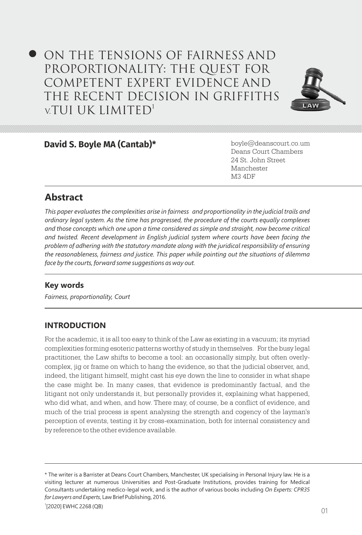# ON THE TENSIONS OF FAIRNESS AND PROPORTIONALITY: THE QUEST FOR COMPETENT EXPERT EVIDENCE AND THE RECENT DECISION IN GRIFFITHS v.TUI UK LIMITED<sup>1</sup>



### **David S. Boyle MA (Cantab)\*** boyle@deanscourt.co.um

Deans Court Chambers 24 St. John Street Manchester M3 4DF

# **Abstract**

*This paper evaluates the complexities arise in fairness and proportionality in the judicial trails and ordinary legal system. As the time has progressed, the procedure of the courts equally complexes and those concepts which one upon a time considered as simple and straight, now become critical and twisted. Recent development in English judicial system where courts have been facing the problem of adhering with the statutory mandate along with the juridical responsibility of ensuring the reasonableness, fairness and justice. This paper while pointing out the situations of dilemma face by the courts, forward some suggestions as way out.* 

# **Key words**

*Fairness, proportionality, Court*

# **INTRODUCTION**

For the academic, it is all too easy to think of the Law as existing in a vacuum; its myriad complexities forming esoteric patterns worthy of study in themselves. For the busy legal practitioner, the Law shifts to become a tool: an occasionally simply, but often overlycomplex, jig or frame on which to hang the evidence, so that the judicial observer, and, indeed, the litigant himself, might cast his eye down the line to consider in what shape the case might be. In many cases, that evidence is predominantly factual, and the litigant not only understands it, but personally provides it, explaining what happened, who did what, and when, and how. There may, of course, be a conflict of evidence, and much of the trial process is spent analysing the strength and cogency of the layman's perception of events, testing it by cross-examination, both for internal consistency and by reference to the other evidence available.

<sup>\*</sup> The writer is a Barrister at Deans Court Chambers, Manchester, UK specialising in Personal Injury law. He is a visiting lecturer at numerous Universities and Post-Graduate Institutions, provides training for Medical Consultants undertaking medico-legal work, and is the author of various books including *On Experts: CPR35 for Lawyers and Experts*, Law Brief Publishing, 2016.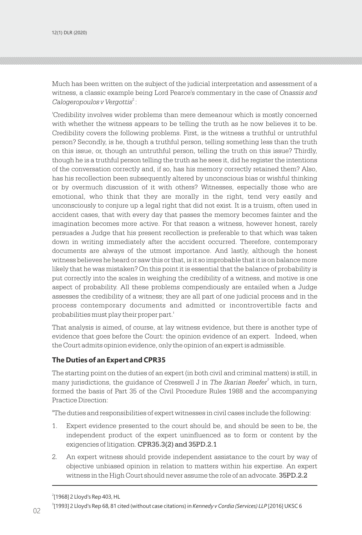Much has been written on the subject of the judicial interpretation and assessment of a witness, a classic example being Lord Pearce's commentary in the case of *Onassis and*  <sup>2</sup> *Calogeropoulos v Vergottis* :

'Credibility involves wider problems than mere demeanour which is mostly concerned with whether the witness appears to be telling the truth as he now believes it to be. Credibility covers the following problems. First, is the witness a truthful or untruthful person? Secondly, is he, though a truthful person, telling something less than the truth on this issue, or, though an untruthful person, telling the truth on this issue? Thirdly, though he is a truthful person telling the truth as he sees it, did he register the intentions of the conversation correctly and, if so, has his memory correctly retained them? Also, has his recollection been subsequently altered by unconscious bias or wishful thinking or by overmuch discussion of it with others? Witnesses, especially those who are emotional, who think that they are morally in the right, tend very easily and unconsciously to conjure up a legal right that did not exist. It is a truism, often used in accident cases, that with every day that passes the memory becomes fainter and the imagination becomes more active. For that reason a witness, however honest, rarely persuades a Judge that his present recollection is preferable to that which was taken down in writing immediately after the accident occurred. Therefore, contemporary documents are always of the utmost importance. And lastly, although the honest witness believes he heard or saw this or that, is it so improbable that it is on balance more likely that he was mistaken? On this point it is essential that the balance of probability is put correctly into the scales in weighing the credibility of a witness, and motive is one aspect of probability. All these problems compendiously are entailed when a Judge assesses the credibility of a witness; they are all part of one judicial process and in the process contemporary documents and admitted or incontrovertible facts and probabilities must play their proper part.'

That analysis is aimed, of course, at lay witness evidence, but there is another type of evidence that goes before the Court: the opinion evidence of an expert. Indeed, when the Court admits opinion evidence, only the opinion of an expert is admissible.

#### **The Duties of an Expert and CPR35**

The starting point on the duties of an expert (in both civil and criminal matters) is still, in many jurisdictions, the guidance of Cresswell J in *The Ikarian Reefer<sup>3</sup>* which, in turn, formed the basis of Part 35 of the Civil Procedure Rules 1988 and the accompanying Practice Direction:

"The duties and responsibilities of expert witnesses in civil cases include the following:

- 1. Expert evidence presented to the court should be, and should be seen to be, the independent product of the expert uninfluenced as to form or content by the exigencies of litigation. CPR35.3(2) and 35PD.2.1
- 2. An expert witness should provide independent assistance to the court by way of objective unbiased opinion in relation to matters within his expertise. An expert witness in the High Court should never assume the role of an advocate. 35PD.2.2

<sup>2</sup> [1968] 2 Lloyd's Rep 403, HL

<sup>02 [1000]</sup> Larey divide edge : enca (innicentate enancine) innemiedy / central (centres) LEP (Lone) chock 3 [1993] 2 Lloyd's Rep 68, 81 cited (without case citations) in *Kennedy v Cordia (Services) LLP* [2016] UKSC 6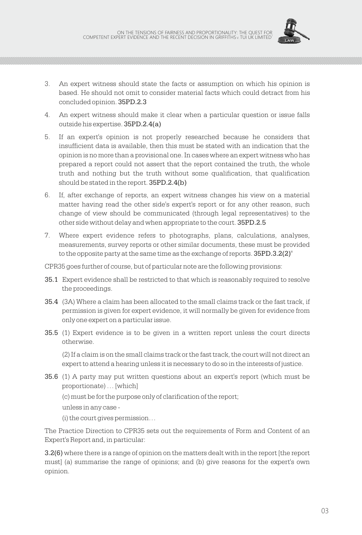

- 3. An expert witness should state the facts or assumption on which his opinion is based. He should not omit to consider material facts which could detract from his concluded opinion. 35PD.2.3
- 4. An expert witness should make it clear when a particular question or issue falls outside his expertise. 35PD.2.4(a)
- 5. If an expert's opinion is not properly researched because he considers that insufficient data is available, then this must be stated with an indication that the opinion is no more than a provisional one. In cases where an expert witness who has prepared a report could not assert that the report contained the truth, the whole truth and nothing but the truth without some qualification, that qualification should be stated in the report. 35PD.2.4(b)
- 6. If, after exchange of reports, an expert witness changes his view on a material matter having read the other side's expert's report or for any other reason, such change of view should be communicated (through legal representatives) to the other side without delay and when appropriate to the court. 35PD.2.5
- 7. Where expert evidence refers to photographs, plans, calculations, analyses, measurements, survey reports or other similar documents, these must be provided to the opposite party at the same time as the exchange of reports. 35PD.3.2(2)"

CPR35 goes further of course, but of particular note are the following provisions:

- 35.1 Expert evidence shall be restricted to that which is reasonably required to resolve the proceedings.
- 35.4 (3A) Where a claim has been allocated to the small claims track or the fast track, if permission is given for expert evidence, it will normally be given for evidence from only one expert on a particular issue.
- 35.5 (1) Expert evidence is to be given in a written report unless the court directs otherwise.

(2) If a claim is on the small claims track or the fast track, the court will not direct an expert to attend a hearing unless it is necessary to do so in the interests of justice.

- 35.6 (1) A party may put written questions about an expert's report (which must be proportionate) … [which]
	- (c) must be for the purpose only of clarification of the report;
	- unless in any case -
	- (i) the court gives permission…

The Practice Direction to CPR35 sets out the requirements of Form and Content of an Expert's Report and, in particular:

3.2(6) where there is a range of opinion on the matters dealt with in the report [the report must] (a) summarise the range of opinions; and (b) give reasons for the expert's own opinion.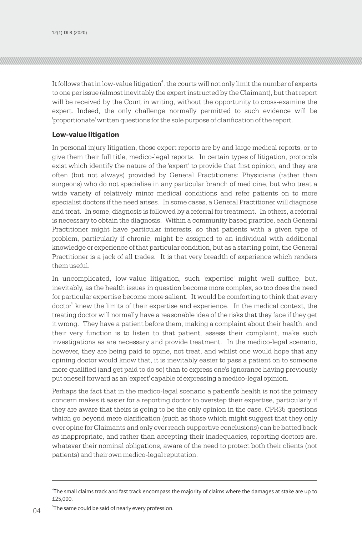It follows that in low-value litigation<sup>4</sup>, the courts will not only limit the number of experts to one per issue (almost inevitably the expert instructed by the Claimant), but that report will be received by the Court in writing, without the opportunity to cross-examine the expert. Indeed, the only challenge normally permitted to such evidence will be 'proportionate' written questions for the sole purpose of clarification of the report.

#### **Low-value litigation**

In personal injury litigation, those expert reports are by and large medical reports, or to give them their full title, medico-legal reports. In certain types of litigation, protocols exist which identify the nature of the 'expert' to provide that first opinion, and they are often (but not always) provided by General Practitioners: Physicians (rather than surgeons) who do not specialise in any particular branch of medicine, but who treat a wide variety of relatively minor medical conditions and refer patients on to more specialist doctors if the need arises. In some cases, a General Practitioner will diagnose and treat. In some, diagnosis is followed by a referral for treatment. In others, a referral is necessary to obtain the diagnosis. Within a community based practice, each General Practitioner might have particular interests, so that patients with a given type of problem, particularly if chronic, might be assigned to an individual with additional knowledge or experience of that particular condition, but as a starting point, the General Practitioner is a jack of all trades. It is that very breadth of experience which renders them useful.

In uncomplicated, low-value litigation, such 'expertise' might well suffice, but, inevitably, as the health issues in question become more complex, so too does the need for particular expertise become more salient. It would be comforting to think that every  $dot\sigma^5$  knew the limits of their expertise and experience. In the medical context, the treating doctor will normally have a reasonable idea of the risks that they face if they get it wrong. They have a patient before them, making a complaint about their health, and their very function is to listen to that patient, assess their complaint, make such investigations as are necessary and provide treatment. In the medico-legal scenario, however, they are being paid to opine, not treat, and whilst one would hope that any opining doctor would know that, it is inevitably easier to pass a patient on to someone more qualified (and get paid to do so) than to express one's ignorance having previously put oneself forward as an 'expert' capable of expressing a medico-legal opinion.

Perhaps the fact that in the medico-legal scenario a patient's health is not the primary concern makes it easier for a reporting doctor to overstep their expertise, particularly if they are aware that theirs is going to be the only opinion in the case. CPR35 questions which go beyond mere clarification (such as those which might suggest that they only ever opine for Claimants and only ever reach supportive conclusions) can be batted back as inappropriate, and rather than accepting their inadequacies, reporting doctors are, whatever their nominal obligations, aware of the need to protect both their clients (not patients) and their own medico-legal reputation.

<sup>4</sup> The small claims track and fast track encompass the majority of claims where the damages at stake are up to £25,000.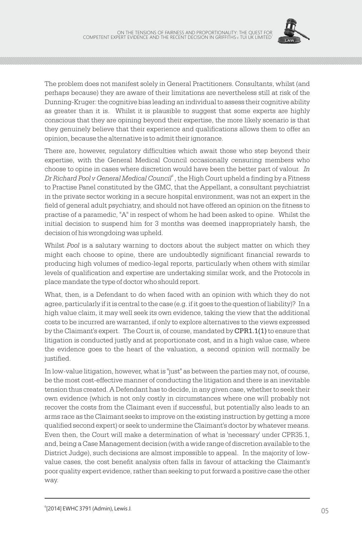

The problem does not manifest solely in General Practitioners. Consultants, whilst (and perhaps because) they are aware of their limitations are nevertheless still at risk of the Dunning-Kruger: the cognitive bias leading an individual to assess their cognitive ability as greater than it is. Whilst it is plausible to suggest that some experts are highly conscious that they are opining beyond their expertise, the more likely scenario is that they genuinely believe that their experience and qualifications allows them to offer an opinion, because the alternative is to admit their ignorance.

There are, however, regulatory difficulties which await those who step beyond their expertise, with the General Medical Council occasionally censuring members who choose to opine in cases where discretion would have been the better part of valour. *In <sup>6</sup> Dr Richard Pool v General Medical Council* , the High Court upheld a finding by a Fitness to Practise Panel constituted by the GMC, that the Appellant, a consultant psychiatrist in the private sector working in a secure hospital environment, was not an expert in the field of general adult psychiatry, and should not have offered an opinion on the fitness to practise of a paramedic, "A" in respect of whom he had been asked to opine. Whilst the initial decision to suspend him for 3 months was deemed inappropriately harsh, the decision of his wrongdoing was upheld.

Whilst *Pool* is a salutary warning to doctors about the subject matter on which they might each choose to opine, there are undoubtedly significant financial rewards to producing high volumes of medico-legal reports, particularly when others with similar levels of qualification and expertise are undertaking similar work, and the Protocols in place mandate the type of doctor who should report.

What, then, is a Defendant to do when faced with an opinion with which they do not agree, particularly if it is central to the case (e.g. if it goes to the question of liability)? In a high value claim, it may well seek its own evidence, taking the view that the additional costs to be incurred are warranted, if only to explore alternatives to the views expressed by the Claimant's expert. The Court is, of course, mandated by CPR1.1(1) to ensure that litigation is conducted justly and at proportionate cost, and in a high value case, where the evidence goes to the heart of the valuation, a second opinion will normally be justified.

In low-value litigation, however, what is "just" as between the parties may not, of course, be the most cost-effective manner of conducting the litigation and there is an inevitable tension thus created. A Defendant has to decide, in any given case, whether to seek their own evidence (which is not only costly in circumstances where one will probably not recover the costs from the Claimant even if successful, but potentially also leads to an arms race as the Claimant seeks to improve on the existing instruction by getting a more qualified second expert) or seek to undermine the Claimant's doctor by whatever means. Even then, the Court will make a determination of what is 'necessary' under CPR35.1, and, being a Case Management decision (with a wide range of discretion available to the District Judge), such decisions are almost impossible to appeal. In the majority of lowvalue cases, the cost benefit analysis often falls in favour of attacking the Claimant's poor quality expert evidence, rather than seeking to put forward a positive case the other way.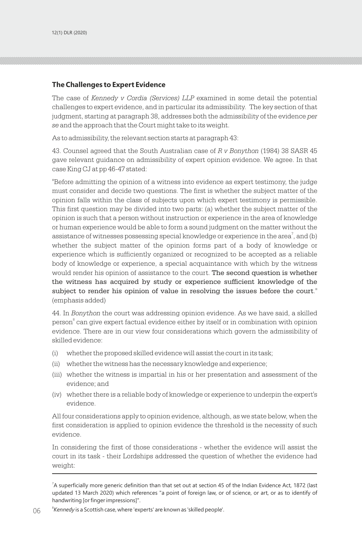#### **The Challenges to Expert Evidence**

The case of *Kennedy v Cordia (Services) LLP* examined in some detail the potential challenges to expert evidence, and in particular its admissibility. The key section of that judgment, starting at paragraph 38, addresses both the admissibility of the evidence *per se* and the approach that the Court might take to its weight.

As to admissibility, the relevant section starts at paragraph 43:

43. Counsel agreed that the South Australian case of *R v Bonython* (1984) 38 SASR 45 gave relevant guidance on admissibility of expert opinion evidence. We agree. In that case King CJ at pp 46-47 stated:

"Before admitting the opinion of a witness into evidence as expert testimony, the judge must consider and decide two questions. The first is whether the subject matter of the opinion falls within the class of subjects upon which expert testimony is permissible. This first question may be divided into two parts: (a) whether the subject matter of the opinion is such that a person without instruction or experience in the area of knowledge or human experience would be able to form a sound judgment on the matter without the assistance of witnesses possessing special knowledge or experience in the area<sup>7</sup>, and (b) whether the subject matter of the opinion forms part of a body of knowledge or experience which is sufficiently organized or recognized to be accepted as a reliable body of knowledge or experience, a special acquaintance with which by the witness would render his opinion of assistance to the court. The second question is whether the witness has acquired by study or experience sufficient knowledge of the subject to render his opinion of value in resolving the issues before the court." (emphasis added)

44. In *Bonython* the court was addressing opinion evidence. As we have said, a skilled person<sup>®</sup> can give expert factual evidence either by itself or in combination with opinion evidence. There are in our view four considerations which govern the admissibility of skilled evidence:

- (i) whether the proposed skilled evidence will assist the court in its task;
- (ii) whether the witness has the necessary knowledge and experience;
- (iii) whether the witness is impartial in his or her presentation and assessment of the evidence; and
- (iv) whether there is a reliable body of knowledge or experience to underpin the expert's evidence.

All four considerations apply to opinion evidence, although, as we state below, when the first consideration is applied to opinion evidence the threshold is the necessity of such evidence.

In considering the first of those considerations - whether the evidence will assist the court in its task - their Lordships addressed the question of whether the evidence had weight:

<sup>7</sup> A superficially more generic definition than that set out at section 45 of the Indian Evidence Act, 1872 (last updated 13 March 2020) which references "a point of foreign law, or of science, or art, or as to identify of handwriting [or finger impressions]".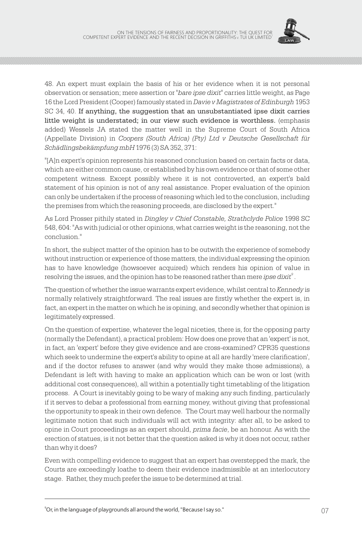

48. An expert must explain the basis of his or her evidence when it is not personal observation or sensation; mere assertion or "*bare ipse dixit*" carries little weight, as Page 16 the Lord President (Cooper) famously stated in *Davie v Magistrates of Edinburgh* 1953 SC 34, 40. If anything, the suggestion that an unsubstantiated ipse dixit carries little weight is understated; in our view such evidence is worthless. (emphasis added) Wessels JA stated the matter well in the Supreme Court of South Africa (Appellate Division) in *Coopers (South Africa) (Pty) Ltd v Deutsche Gesellschaft für Schädlingsbekämpfung mbH* 1976 (3) SA 352, 371:

"[A]n expert's opinion represents his reasoned conclusion based on certain facts or data, which are either common cause, or established by his own evidence or that of some other competent witness. Except possibly where it is not controverted, an expert's bald statement of his opinion is not of any real assistance. Proper evaluation of the opinion can only be undertaken if the process of reasoning which led to the conclusion, including the premises from which the reasoning proceeds, are disclosed by the expert."

As Lord Prosser pithily stated in *Dingley v Chief Constable, Strathclyde Police* 1998 SC 548, 604: "As with judicial or other opinions, what carries weight is the reasoning, not the conclusion."

In short, the subject matter of the opinion has to be outwith the experience of somebody without instruction or experience of those matters, the individual expressing the opinion has to have knowledge (howsoever acquired) which renders his opinion of value in resolving the issues, and the opinion has to be reasoned rather than mere *ipse dixit<sup>9</sup> .* 

The question of whether the issue warrants expert evidence, whilst central to *Kennedy* is normally relatively straightforward. The real issues are firstly whether the expert is, in fact, an expert in the matter on which he is opining, and secondly whether that opinion is legitimately expressed.

On the question of expertise, whatever the legal niceties, there is, for the opposing party (normally the Defendant), a practical problem: How does one prove that an 'expert' is not, in fact, an 'expert' before they give evidence and are cross-examined? CPR35 questions which seek to undermine the expert's ability to opine at all are hardly 'mere clarification', and if the doctor refuses to answer (and why would they make those admissions), a Defendant is left with having to make an application which can be won or lost (with additional cost consequences), all within a potentially tight timetabling of the litigation process. A Court is inevitably going to be wary of making any such finding, particularly if it serves to debar a professional from earning money, without giving that professional the opportunity to speak in their own defence. The Court may well harbour the normally legitimate notion that such individuals will act with integrity: after all, to be asked to opine in Court proceedings as an expert should, *prima facie*, be an honour. As with the erection of statues, is it not better that the question asked is why it does not occur, rather than why it does?

Even with compelling evidence to suggest that an expert has overstepped the mark, the Courts are exceedingly loathe to deem their evidence inadmissible at an interlocutory stage. Rather, they much prefer the issue to be determined at trial.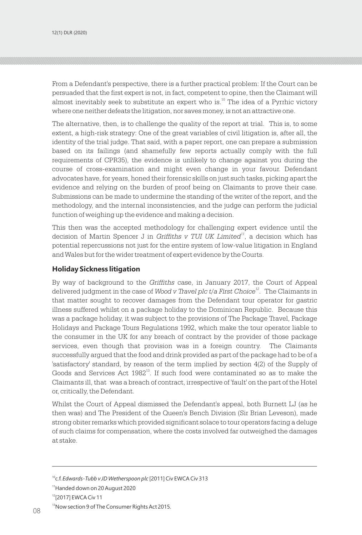From a Defendant's perspective, there is a further practical problem: If the Court can be persuaded that the first expert is not, in fact, competent to opine, then the Claimant will almost inevitably seek to substitute an expert who is.<sup>10</sup> The idea of a Pyrrhic victory where one neither defeats the litigation, nor saves money, is not an attractive one.

The alternative, then, is to challenge the quality of the report at trial. This is, to some extent, a high-risk strategy: One of the great variables of civil litigation is, after all, the identity of the trial judge. That said, with a paper report, one can prepare a submission based on its failings (and shamefully few reports actually comply with the full requirements of CPR35), the evidence is unlikely to change against you during the course of cross-examination and might even change in your favour. Defendant advocates have, for years, honed their forensic skills on just such tasks, picking apart the evidence and relying on the burden of proof being on Claimants to prove their case. Submissions can be made to undermine the standing of the writer of the report, and the methodology, and the internal inconsistencies, and the judge can perform the judicial function of weighing up the evidence and making a decision.

This then was the accepted methodology for challenging expert evidence until the decision of Martin Spencer J in *Griffiths v TUI UK Limited*<sup>11</sup>, a decision which has potential repercussions not just for the entire system of low-value litigation in England and Wales but for the wider treatment of expert evidence by the Courts.

#### **Holiday Sickness litigation**

By way of background to the *Griffiths* case, in January 2017, the Court of Appeal delivered judgment in the case of Wood v Travel plc t/a First Choice<sup>12</sup>. The Claimants in that matter sought to recover damages from the Defendant tour operator for gastric illness suffered whilst on a package holiday to the Dominican Republic. Because this was a package holiday, it was subject to the provisions of The Package Travel, Package Holidays and Package Tours Regulations 1992, which make the tour operator liable to the consumer in the UK for any breach of contract by the provider of those package services, even though that provision was in a foreign country. The Claimants successfully argued that the food and drink provided as part of the package had to be of a 'satisfactory' standard, by reason of the term implied by section 4(2) of the Supply of Goods and Services Act 1982<sup>13</sup>. If such food were contaminated so as to make the Claimants ill, that was a breach of contract, irrespective of 'fault' on the part of the Hotel or, critically, the Defendant.

Whilst the Court of Appeal dismissed the Defendant's appeal, both Burnett LJ (as he then was) and The President of the Queen's Bench Division (Sir Brian Leveson), made strong obiter remarks which provided significant solace to tour operators facing a deluge of such claims for compensation, where the costs involved far outweighed the damages at stake.

<sup>&</sup>lt;sup>10</sup>c.f. *Edwards-Tubb v JD Wetherspoon plc* [2011] Civ EWCA Civ 313

<sup>11</sup>Handed down on 20 August 2020

<sup>&</sup>lt;sup>12</sup>[2017] EWCA Civ 11

<sup>&</sup>lt;sup>13</sup> Now section 9 of The Consumer Rights Act 2015. 08 Now section 5 of the constant ingitis Acces 15.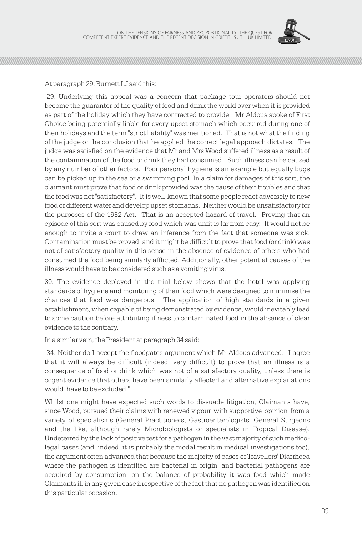

At paragraph 29, Burnett LJ said this:

"29. Underlying this appeal was a concern that package tour operators should not become the guarantor of the quality of food and drink the world over when it is provided as part of the holiday which they have contracted to provide. Mr Aldous spoke of First Choice being potentially liable for every upset stomach which occurred during one of their holidays and the term "strict liability" was mentioned. That is not what the finding of the judge or the conclusion that he applied the correct legal approach dictates. The judge was satisfied on the evidence that Mr and Mrs Wood suffered illness as a result of the contamination of the food or drink they had consumed. Such illness can be caused by any number of other factors. Poor personal hygiene is an example but equally bugs can be picked up in the sea or a swimming pool. In a claim for damages of this sort, the claimant must prove that food or drink provided was the cause of their troubles and that the food was not "satisfactory". It is well-known that some people react adversely to new food or different water and develop upset stomachs. Neither would be unsatisfactory for the purposes of the 1982 Act. That is an accepted hazard of travel. Proving that an episode of this sort was caused by food which was unfit is far from easy. It would not be enough to invite a court to draw an inference from the fact that someone was sick. Contamination must be proved; and it might be difficult to prove that food (or drink) was not of satisfactory quality in this sense in the absence of evidence of others who had consumed the food being similarly afflicted. Additionally, other potential causes of the illness would have to be considered such as a vomiting virus.

30. The evidence deployed in the trial below shows that the hotel was applying standards of hygiene and monitoring of their food which were designed to minimise the chances that food was dangerous. The application of high standards in a given establishment, when capable of being demonstrated by evidence, would inevitably lead to some caution before attributing illness to contaminated food in the absence of clear evidence to the contrary."

In a similar vein, the President at paragraph 34 said:

"34. Neither do I accept the floodgates argument which Mr Aldous advanced. I agree that it will always be difficult (indeed, very difficult) to prove that an illness is a consequence of food or drink which was not of a satisfactory quality, unless there is cogent evidence that others have been similarly affected and alternative explanations would have to be excluded."

Whilst one might have expected such words to dissuade litigation, Claimants have, since Wood, pursued their claims with renewed vigour, with supportive 'opinion' from a variety of specialisms (General Practitioners, Gastroenterologists, General Surgeons and the like, although rarely Microbiologists or specialists in Tropical Disease). Undeterred by the lack of positive test for a pathogen in the vast majority of such medicolegal cases (and, indeed, it is probably the modal result in medical investigations too), the argument often advanced that because the majority of cases of Travellers' Diarrhoea where the pathogen is identified are bacterial in origin, and bacterial pathogens are acquired by consumption, on the balance of probability it was food which made Claimants ill in any given case irrespective of the fact that no pathogen was identified on this particular occasion.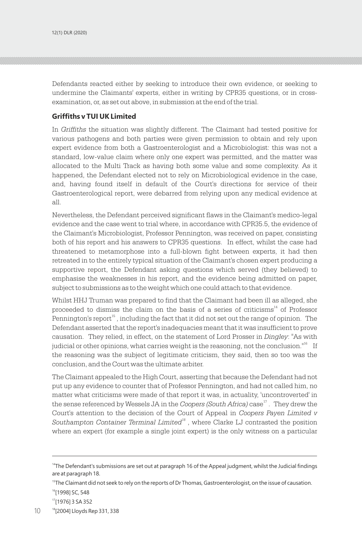Defendants reacted either by seeking to introduce their own evidence, or seeking to undermine the Claimants' experts, either in writing by CPR35 questions, or in crossexamination, or, as set out above, in submission at the end of the trial.

#### **Griffiths v TUI UK Limited**

In *Griffiths* the situation was slightly different. The Claimant had tested positive for various pathogens and both parties were given permission to obtain and rely upon expert evidence from both a Gastroenterologist and a Microbiologist: this was not a standard, low-value claim where only one expert was permitted, and the matter was allocated to the Multi Track as having both some value and some complexity. As it happened, the Defendant elected not to rely on Microbiological evidence in the case, and, having found itself in default of the Court's directions for service of their Gastroenterological report, were debarred from relying upon any medical evidence at all.

Nevertheless, the Defendant perceived significant flaws in the Claimant's medico-legal evidence and the case went to trial where, in accordance with CPR35.5, the evidence of the Claimant's Microbiologist, Professor Pennington, was received on paper, consisting both of his report and his answers to CPR35 questions. In effect, whilst the case had threatened to metamorphose into a full-blown fight between experts, it had then retreated in to the entirely typical situation of the Claimant's chosen expert producing a supportive report, the Defendant asking questions which served (they believed) to emphasise the weaknesses in his report, and the evidence being admitted on paper, subject to submissions as to the weight which one could attach to that evidence.

Whilst HHJ Truman was prepared to find that the Claimant had been ill as alleged, she proceeded to dismiss the claim on the basis of a series of criticisms $^{14}$  of Professor Pennington's report<sup>15</sup>, including the fact that it did not set out the range of opinion. The Defendant asserted that the report's inadequacies meant that it was insufficient to prove causation. They relied, in effect, on the statement of Lord Prosser in *Dingley*: "As with judicial or other opinions, what carries weight is the reasoning, not the conclusion."<sup>16</sup> If the reasoning was the subject of legitimate criticism, they said, then so too was the conclusion, and the Court was the ultimate arbiter.

The Claimant appealed to the High Court, asserting that because the Defendant had not put up any evidence to counter that of Professor Pennington, and had not called him, no matter what criticisms were made of that report it was, in actuality, 'uncontroverted' in the sense referenced by Wessels JA in the Coopers (South Africa) case<sup>17</sup>. They drew the Court's attention to the decision of the Court of Appeal in *Coopers Payen Limited v Southampton Container Terminal Limited<sup>18</sup>*, where Clarke LJ contrasted the position where an expert (for example a single joint expert) is the only witness on a particular

<sup>&</sup>lt;sup>14</sup>The Defendant's submissions are set out at paragraph 16 of the Appeal judgment, whilst the Judicial findings are at paragraph 18.

 $15$ The Claimant did not seek to rely on the reports of Dr Thomas, Gastroenterologist, on the issue of causation.

<sup>&</sup>lt;sup>16</sup>[1998] SC, 548

<sup>17</sup>[1976] 3 SA 352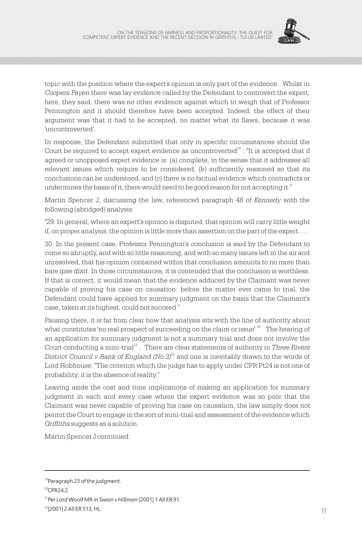

topic with the position where the expert's opinion is only part of the evidence. Whilst in *Coopers Payen* there was lay evidence called by the Defendant to controvert the expert, here, they said, there was no other evidence against which to weigh that of Professor Pennington and it should therefore have been accepted. Indeed, the effect of their argument was that it had to be accepted, no matter what its flaws, because it was 'uncontroverted'.

In response, the Defendant submitted that only in specific circumstances should the Court be required to accept expert evidence as uncontroverted $^{19}$  : "It is accepted that if agreed or unopposed expert evidence is: (a) complete, in the sense that it addresses all relevant issues which require to be considered, (b) sufficiently reasoned so that its conclusions can be understood, and (c) there is no factual evidence which contradicts or undermines the basis of it, there would need to be good reason for not accepting it."

Martin Spencer J, discussing the law, referenced paragraph 48 of *Kennedy* with the following (abridged) analysis:

"29. In general, where an expert's opinion is disputed, that opinion will carry little weight if, on proper analysis, the opinion is little more than assertion on the part of the expert….

30. In the present case, Professor Pennington's conclusion is said by the Defendant to come so abruptly, and with so little reasoning, and with so many issues left in the air and unresolved, that his opinion contained within that conclusion amounts to no more than bare *ipse dixit*. In those circumstances, it is contended that the conclusion is worthless. If that is correct, it would mean that the evidence adduced by the Claimant was never capable of proving his case on causation: before the matter ever came to trial, the Defendant could have applied for summary judgment on the basis that the Claimant's case, taken at its highest, could not succeed."

Pausing there, it is far from clear how that analysis sits with the line of authority about what constitutes 'no real prospect of succeeding on the claim or issue'  $^{20}$ . The hearing of an application for summary judgment is not a summary trial and does not involve the Court conducting a mini-trial<sup>21</sup>. There are clear statements of authority in Three Rivers *District Council v Bank of England (No.3)*<sup>22</sup> and one is inevitably drawn to the words of Lord Hobhouse: "The criterion which the judge has to apply under CPR Pt24 is not one of probability; it is the absence of reality."

Leaving aside the cost and time implications of making an application for summary judgment in each and every case where the expert evidence was so poor that the Claimant was never capable of proving his case on causation, the law simply does not permit the Court to engage in the sort of mini-trial and assessment of the evidence which *Griffiths* suggests as a solution.

Martin Spencer J continued:

<sup>&</sup>lt;sup>19</sup>Paragraph 23 of the judgment.

 $20$ CPR24.2

<sup>21</sup>Per Lord Woolf MR in *Swain v Hillman* [2001] 1 All ER 91.

 $^{22}$ [2001] 2 All ER 513, HL  $^{+}$ [2001] 2 AII ER 513, HL  $^{+}$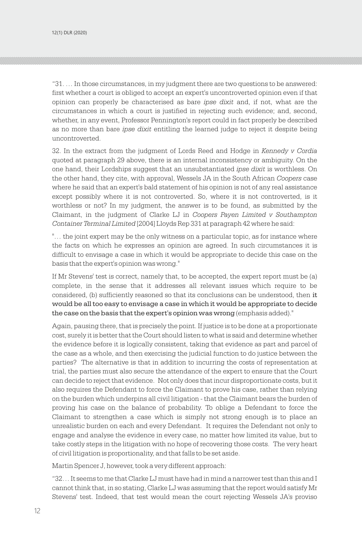"31. … In those circumstances, in my judgment there are two questions to be answered: first whether a court is obliged to accept an expert's uncontroverted opinion even if that opinion can properly be characterised as bare *ipse dixit* and, if not, what are the circumstances in which a court is justified in rejecting such evidence; and, second, whether, in any event, Professor Pennington's report could in fact properly be described as no more than bare *ipse dixit* entitling the learned judge to reject it despite being uncontroverted.

32. In the extract from the judgment of Lords Reed and Hodge in *Kennedy v Cordia* quoted at paragraph 29 above, there is an internal inconsistency or ambiguity. On the one hand, their Lordships suggest that an unsubstantiated *ipse dixit* is worthless. On the other hand, they cite, with approval, Wessels JA in the South African *Coopers* case where he said that an expert's bald statement of his opinion is not of any real assistance except possibly where it is not controverted. So, where it is not controverted, is it worthless or not? In my judgment, the answer is to be found, as submitted by the Claimant, in the judgment of Clarke LJ in *Coopers Payen Limited v Southampton Container Terminal Limited* [2004] Lloyds Rep 331 at paragraph 42 where he said:

"… the joint expert may be the only witness on a particular topic, as for instance where the facts on which he expresses an opinion are agreed. In such circumstances it is difficult to envisage a case in which it would be appropriate to decide this case on the basis that the expert's opinion was wrong."

If Mr Stevens' test is correct, namely that, to be accepted, the expert report must be (a) complete, in the sense that it addresses all relevant issues which require to be considered, (b) sufficiently reasoned so that its conclusions can be understood, then it would be all too easy to envisage a case in which it would be appropriate to decide the case on the basis that the expert's opinion was wrong (emphasis added)."

Again, pausing there, that is precisely the point. If justice is to be done at a proportionate cost, surely it is better that the Court should listen to what is said and determine whether the evidence before it is logically consistent, taking that evidence as part and parcel of the case as a whole, and then exercising the judicial function to do justice between the parties? The alternative is that in addition to incurring the costs of representation at trial, the parties must also secure the attendance of the expert to ensure that the Court can decide to reject that evidence. Not only does that incur disproportionate costs, but it also requires the Defendant to force the Claimant to prove his case, rather than relying on the burden which underpins all civil litigation - that the Claimant bears the burden of proving his case on the balance of probability. To oblige a Defendant to force the Claimant to strengthen a case which is simply not strong enough is to place an unrealistic burden on each and every Defendant. It requires the Defendant not only to engage and analyse the evidence in every case, no matter how limited its value, but to take costly steps in the litigation with no hope of recovering those costs. The very heart of civil litigation is proportionality, and that falls to be set aside.

Martin Spencer J, however, took a very different approach:

"32… It seems to me that Clarke LJ must have had in mind a narrower test than this and I cannot think that, in so stating, Clarke LJ was assuming that the report would satisfy Mr Stevens' test. Indeed, that test would mean the court rejecting Wessels JA's proviso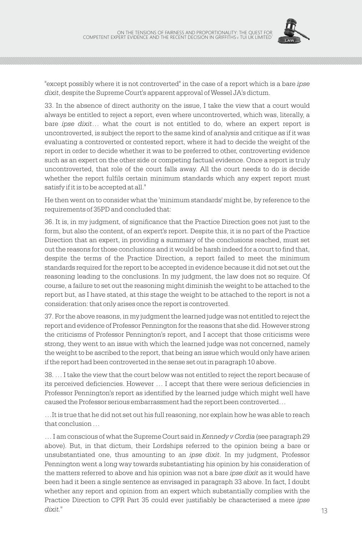

"except possibly where it is not controverted" in the case of a report which is a bare *ipse dixit*, despite the Supreme Court's apparent approval of Wessel JA's dictum.

33. In the absence of direct authority on the issue, I take the view that a court would always be entitled to reject a report, even where uncontroverted, which was, literally, a bare *ipse dixit*… what the court is not entitled to do, where an expert report is uncontroverted, is subject the report to the same kind of analysis and critique as if it was evaluating a controverted or contested report, where it had to decide the weight of the report in order to decide whether it was to be preferred to other, controverting evidence such as an expert on the other side or competing factual evidence. Once a report is truly uncontroverted, that role of the court falls away. All the court needs to do is decide whether the report fulfils certain minimum standards which any expert report must satisfy if it is to be accepted at all."

He then went on to consider what the 'minimum standards' might be, by reference to the requirements of 35PD and concluded that:

36. It is, in my judgment, of significance that the Practice Direction goes not just to the form, but also the content, of an expert's report. Despite this, it is no part of the Practice Direction that an expert, in providing a summary of the conclusions reached, must set out the reasons for those conclusions and it would be harsh indeed for a court to find that, despite the terms of the Practice Direction, a report failed to meet the minimum standards required for the report to be accepted in evidence because it did not set out the reasoning leading to the conclusions. In my judgment, the law does not so require. Of course, a failure to set out the reasoning might diminish the weight to be attached to the report but, as I have stated, at this stage the weight to be attached to the report is not a consideration: that only arises once the report is controverted.

37. For the above reasons, in my judgment the learned judge was not entitled to reject the report and evidence of Professor Pennington for the reasons that she did. However strong the criticisms of Professor Pennington's report, and I accept that those criticisms were strong, they went to an issue with which the learned judge was not concerned, namely the weight to be ascribed to the report, that being an issue which would only have arisen if the report had been controverted in the sense set out in paragraph 10 above.

38. … I take the view that the court below was not entitled to reject the report because of its perceived deficiencies. However … I accept that there were serious deficiencies in Professor Pennington's report as identified by the learned judge which might well have caused the Professor serious embarrassment had the report been controverted…

…It is true that he did not set out his full reasoning, nor explain how he was able to reach that conclusion …

… I am conscious of what the Supreme Court said in *Kennedy v Cordia* (see paragraph 29 above). But, in that dictum, their Lordships referred to the opinion being a bare or unsubstantiated one, thus amounting to an *ipse dixit*. In my judgment, Professor Pennington went a long way towards substantiating his opinion by his consideration of the matters referred to above and his opinion was not a bare *ipse dixit* as it would have been had it been a single sentence as envisaged in paragraph 33 above. In fact, I doubt whether any report and opinion from an expert which substantially complies with the Practice Direction to CPR Part 35 could ever justifiably be characterised a mere *ipse dixit.*"  $dixnt.$ "
(13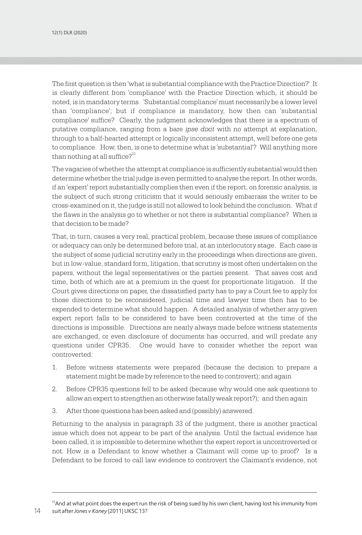The first question is then 'what is substantial compliance with the Practice Direction?' It is clearly different from 'compliance' with the Practice Direction which, it should be noted, is in mandatory terms. 'Substantial compliance' must necessarily be a lower level than 'compliance'; but if compliance is mandatory, how then can 'substantial compliance' suffice? Clearly, the judgment acknowledges that there is a spectrum of putative compliance, ranging from a bare *ipse dixit* with no attempt at explanation, through to a half-hearted attempt or logically inconsistent attempt, well before one gets to compliance. How, then, is one to determine what is 'substantial'? Will anything more than nothing at all suffice? $2^{23}$ 

The vagaries of whether the attempt at compliance is sufficiently substantial would then determine whether the trial judge is even permitted to analyse the report. In other words, if an 'expert' report substantially complies then even if the report, on forensic analysis, is the subject of such strong criticism that it would seriously embarrass the writer to be cross-examined on it, the judge is still not allowed to look behind the conclusion. What if the flaws in the analysis go to whether or not there is substantial compliance? When is that decision to be made?

That, in turn, causes a very real, practical problem, because these issues of compliance or adequacy can only be determined before trial, at an interlocutory stage. Each case is the subject of some judicial scrutiny early in the proceedings when directions are given, but in low-value, standard form, litigation, that scrutiny is most often undertaken on the papers, without the legal representatives or the parties present. That saves cost and time, both of which are at a premium in the quest for proportionate litigation. If the Court gives directions on paper, the dissatisfied party has to pay a Court fee to apply for those directions to be reconsidered, judicial time and lawyer time then has to be expended to determine what should happen. A detailed analysis of whether any given expert report falls to be considered to have been controverted at the time of the directions is impossible. Directions are nearly always made before witness statements are exchanged, or even disclosure of documents has occurred, and will predate any questions under CPR35. One would have to consider whether the report was controverted:

- 1. Before witness statements were prepared (because the decision to prepare a statement might be made by reference to the need to controvert); and again
- 2. Before CPR35 questions fell to be asked (because why would one ask questions to allow an expert to strengthen an otherwise fatally weak report?); and then again
- 3. After those questions has been asked and (possibly) answered.

Returning to the analysis in paragraph 33 of the judgment, there is another practical issue which does not appear to be part of the analysis. Until the factual evidence has been called, it is impossible to determine whether the expert report is uncontroverted or not. How is a Defendant to know whether a Claimant will come up to proof? Is a Defendant to be forced to call law evidence to controvert the Claimant's evidence, not